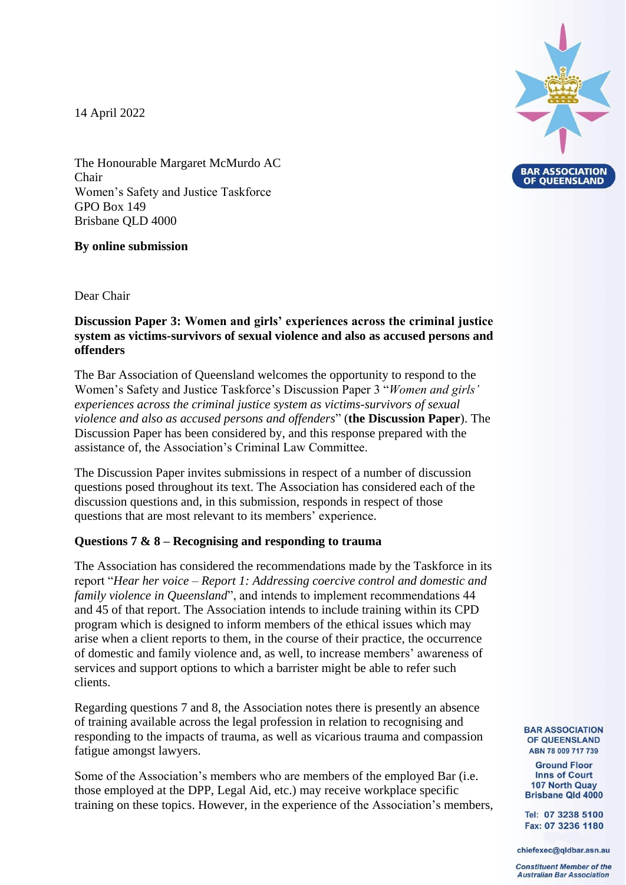14 April 2022



The Honourable Margaret McMurdo AC Chair Women's Safety and Justice Taskforce GPO Box 149 Brisbane QLD 4000

## **By online submission**

Dear Chair

## **Discussion Paper 3: Women and girls' experiences across the criminal justice system as victims-survivors of sexual violence and also as accused persons and offenders**

The Bar Association of Queensland welcomes the opportunity to respond to the Women's Safety and Justice Taskforce's Discussion Paper 3 "*Women and girls' experiences across the criminal justice system as victims-survivors of sexual violence and also as accused persons and offenders*" (**the Discussion Paper**). The Discussion Paper has been considered by, and this response prepared with the assistance of, the Association's Criminal Law Committee.

The Discussion Paper invites submissions in respect of a number of discussion questions posed throughout its text. The Association has considered each of the discussion questions and, in this submission, responds in respect of those questions that are most relevant to its members' experience.

#### **Questions 7 & 8 – Recognising and responding to trauma**

The Association has considered the recommendations made by the Taskforce in its report "*Hear her voice – Report 1: Addressing coercive control and domestic and family violence in Queensland*", and intends to implement recommendations 44 and 45 of that report. The Association intends to include training within its CPD program which is designed to inform members of the ethical issues which may arise when a client reports to them, in the course of their practice, the occurrence of domestic and family violence and, as well, to increase members' awareness of services and support options to which a barrister might be able to refer such clients.

Regarding questions 7 and 8, the Association notes there is presently an absence of training available across the legal profession in relation to recognising and responding to the impacts of trauma, as well as vicarious trauma and compassion fatigue amongst lawyers.

Some of the Association's members who are members of the employed Bar (i.e. those employed at the DPP, Legal Aid, etc.) may receive workplace specific training on these topics. However, in the experience of the Association's members, **BAR ASSOCIATION** OF QUEENSLAND ABN 78 009 717 739

**Ground Floor Inns of Court** 107 North Quay **Brisbane Qld 4000** 

Tel: 07 3238 5100 Fax: 07 3236 1180

chiefexec@qldbar.asn.au

**Constituent Member of the Australian Bar Association**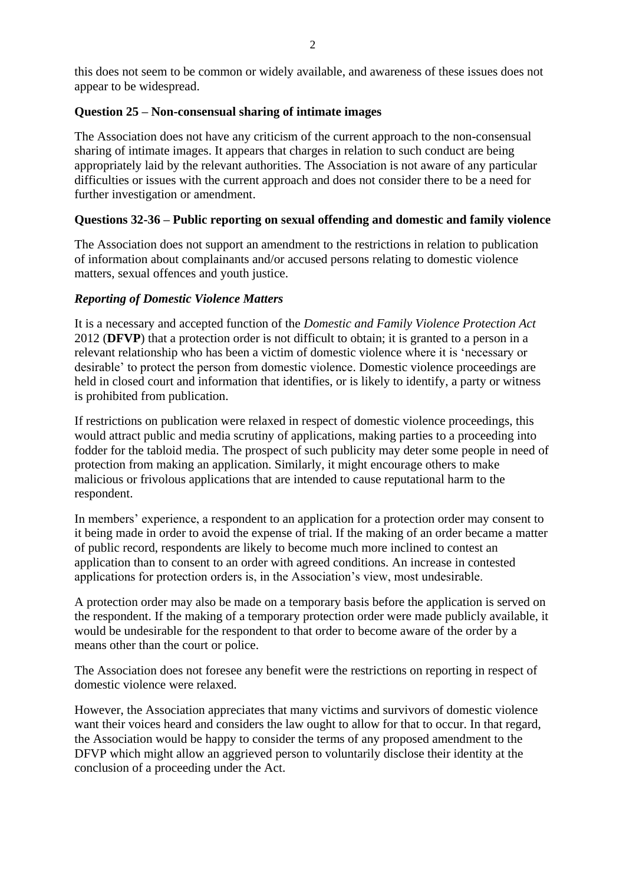this does not seem to be common or widely available, and awareness of these issues does not appear to be widespread.

## **Question 25 – Non-consensual sharing of intimate images**

The Association does not have any criticism of the current approach to the non-consensual sharing of intimate images. It appears that charges in relation to such conduct are being appropriately laid by the relevant authorities. The Association is not aware of any particular difficulties or issues with the current approach and does not consider there to be a need for further investigation or amendment.

## **Questions 32-36 – Public reporting on sexual offending and domestic and family violence**

The Association does not support an amendment to the restrictions in relation to publication of information about complainants and/or accused persons relating to domestic violence matters, sexual offences and youth justice.

## *Reporting of Domestic Violence Matters*

It is a necessary and accepted function of the *Domestic and Family Violence Protection Act*  2012 (**DFVP**) that a protection order is not difficult to obtain; it is granted to a person in a relevant relationship who has been a victim of domestic violence where it is 'necessary or desirable' to protect the person from domestic violence. Domestic violence proceedings are held in closed court and information that identifies, or is likely to identify, a party or witness is prohibited from publication.

If restrictions on publication were relaxed in respect of domestic violence proceedings, this would attract public and media scrutiny of applications, making parties to a proceeding into fodder for the tabloid media. The prospect of such publicity may deter some people in need of protection from making an application. Similarly, it might encourage others to make malicious or frivolous applications that are intended to cause reputational harm to the respondent.

In members' experience, a respondent to an application for a protection order may consent to it being made in order to avoid the expense of trial. If the making of an order became a matter of public record, respondents are likely to become much more inclined to contest an application than to consent to an order with agreed conditions. An increase in contested applications for protection orders is, in the Association's view, most undesirable.

A protection order may also be made on a temporary basis before the application is served on the respondent. If the making of a temporary protection order were made publicly available, it would be undesirable for the respondent to that order to become aware of the order by a means other than the court or police.

The Association does not foresee any benefit were the restrictions on reporting in respect of domestic violence were relaxed.

However, the Association appreciates that many victims and survivors of domestic violence want their voices heard and considers the law ought to allow for that to occur. In that regard, the Association would be happy to consider the terms of any proposed amendment to the DFVP which might allow an aggrieved person to voluntarily disclose their identity at the conclusion of a proceeding under the Act.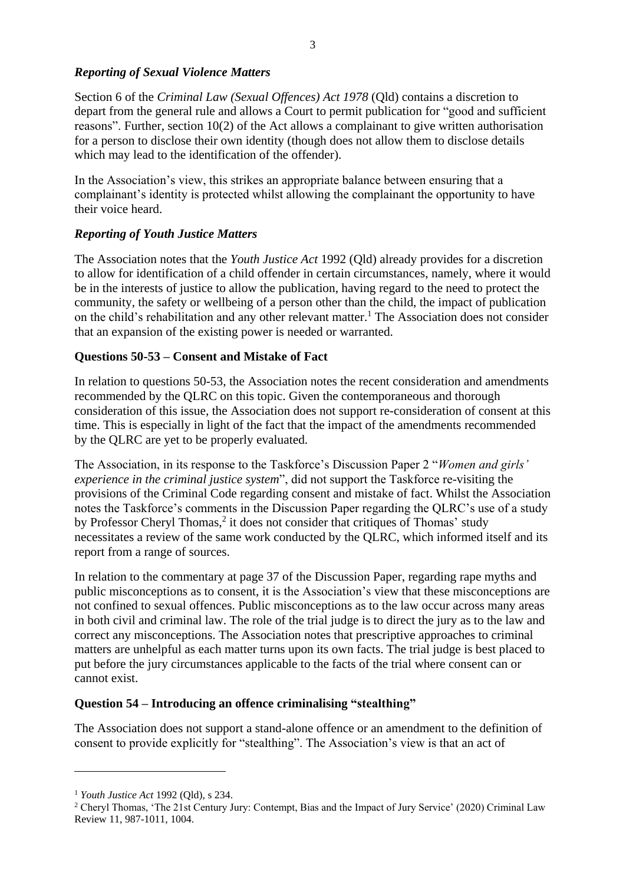### *Reporting of Sexual Violence Matters*

Section 6 of the *Criminal Law (Sexual Offences) Act 1978* (Qld) contains a discretion to depart from the general rule and allows a Court to permit publication for "good and sufficient reasons". Further, section 10(2) of the Act allows a complainant to give written authorisation for a person to disclose their own identity (though does not allow them to disclose details which may lead to the identification of the offender).

In the Association's view, this strikes an appropriate balance between ensuring that a complainant's identity is protected whilst allowing the complainant the opportunity to have their voice heard.

## *Reporting of Youth Justice Matters*

The Association notes that the *Youth Justice Act* 1992 (Qld) already provides for a discretion to allow for identification of a child offender in certain circumstances, namely, where it would be in the interests of justice to allow the publication, having regard to the need to protect the community, the safety or wellbeing of a person other than the child, the impact of publication on the child's rehabilitation and any other relevant matter. <sup>1</sup> The Association does not consider that an expansion of the existing power is needed or warranted.

## **Questions 50-53 – Consent and Mistake of Fact**

In relation to questions 50-53, the Association notes the recent consideration and amendments recommended by the QLRC on this topic. Given the contemporaneous and thorough consideration of this issue, the Association does not support re-consideration of consent at this time. This is especially in light of the fact that the impact of the amendments recommended by the QLRC are yet to be properly evaluated.

The Association, in its response to the Taskforce's Discussion Paper 2 "*Women and girls' experience in the criminal justice system*", did not support the Taskforce re-visiting the provisions of the Criminal Code regarding consent and mistake of fact. Whilst the Association notes the Taskforce's comments in the Discussion Paper regarding the QLRC's use of a study by Professor Cheryl Thomas,<sup>2</sup> it does not consider that critiques of Thomas' study necessitates a review of the same work conducted by the QLRC, which informed itself and its report from a range of sources.

In relation to the commentary at page 37 of the Discussion Paper, regarding rape myths and public misconceptions as to consent, it is the Association's view that these misconceptions are not confined to sexual offences. Public misconceptions as to the law occur across many areas in both civil and criminal law. The role of the trial judge is to direct the jury as to the law and correct any misconceptions. The Association notes that prescriptive approaches to criminal matters are unhelpful as each matter turns upon its own facts. The trial judge is best placed to put before the jury circumstances applicable to the facts of the trial where consent can or cannot exist.

#### **Question 54 – Introducing an offence criminalising "stealthing"**

The Association does not support a stand-alone offence or an amendment to the definition of consent to provide explicitly for "stealthing". The Association's view is that an act of

-

<sup>1</sup> *Youth Justice Act* 1992 (Qld), s 234.

<sup>&</sup>lt;sup>2</sup> Cheryl Thomas, 'The 21st Century Jury: Contempt, Bias and the Impact of Jury Service' (2020) Criminal Law Review 11, 987-1011, 1004.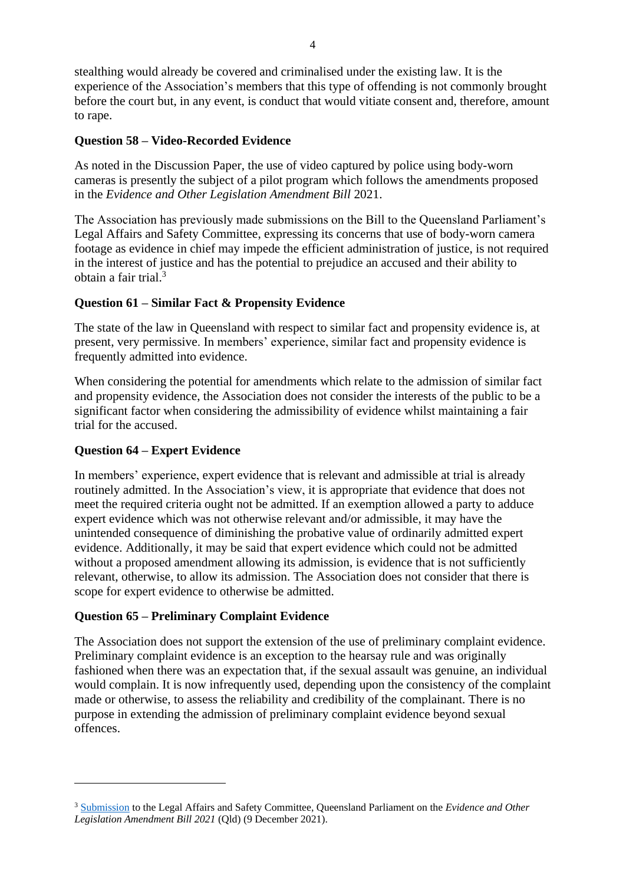stealthing would already be covered and criminalised under the existing law. It is the experience of the Association's members that this type of offending is not commonly brought before the court but, in any event, is conduct that would vitiate consent and, therefore, amount to rape.

# **Question 58 – Video-Recorded Evidence**

As noted in the Discussion Paper, the use of video captured by police using body-worn cameras is presently the subject of a pilot program which follows the amendments proposed in the *Evidence and Other Legislation Amendment Bill* 2021.

The Association has previously made submissions on the Bill to the Queensland Parliament's Legal Affairs and Safety Committee, expressing its concerns that use of body-worn camera footage as evidence in chief may impede the efficient administration of justice, is not required in the interest of justice and has the potential to prejudice an accused and their ability to obtain a fair trial.<sup>3</sup>

## **Question 61 – Similar Fact & Propensity Evidence**

The state of the law in Queensland with respect to similar fact and propensity evidence is, at present, very permissive. In members' experience, similar fact and propensity evidence is frequently admitted into evidence.

When considering the potential for amendments which relate to the admission of similar fact and propensity evidence, the Association does not consider the interests of the public to be a significant factor when considering the admissibility of evidence whilst maintaining a fair trial for the accused.

## **Question 64 – Expert Evidence**

.<br>-

In members' experience, expert evidence that is relevant and admissible at trial is already routinely admitted. In the Association's view, it is appropriate that evidence that does not meet the required criteria ought not be admitted. If an exemption allowed a party to adduce expert evidence which was not otherwise relevant and/or admissible, it may have the unintended consequence of diminishing the probative value of ordinarily admitted expert evidence. Additionally, it may be said that expert evidence which could not be admitted without a proposed amendment allowing its admission, is evidence that is not sufficiently relevant, otherwise, to allow its admission. The Association does not consider that there is scope for expert evidence to otherwise be admitted.

## **Question 65 – Preliminary Complaint Evidence**

The Association does not support the extension of the use of preliminary complaint evidence. Preliminary complaint evidence is an exception to the hearsay rule and was originally fashioned when there was an expectation that, if the sexual assault was genuine, an individual would complain. It is now infrequently used, depending upon the consistency of the complaint made or otherwise, to assess the reliability and credibility of the complainant. There is no purpose in extending the admission of preliminary complaint evidence beyond sexual offences.

<sup>3</sup> Submission to the Legal Affairs and Safety Committee, Queensland Parliament on the *Evidence and Other Legislation Amendment Bill 2021* (Qld) (9 December 2021).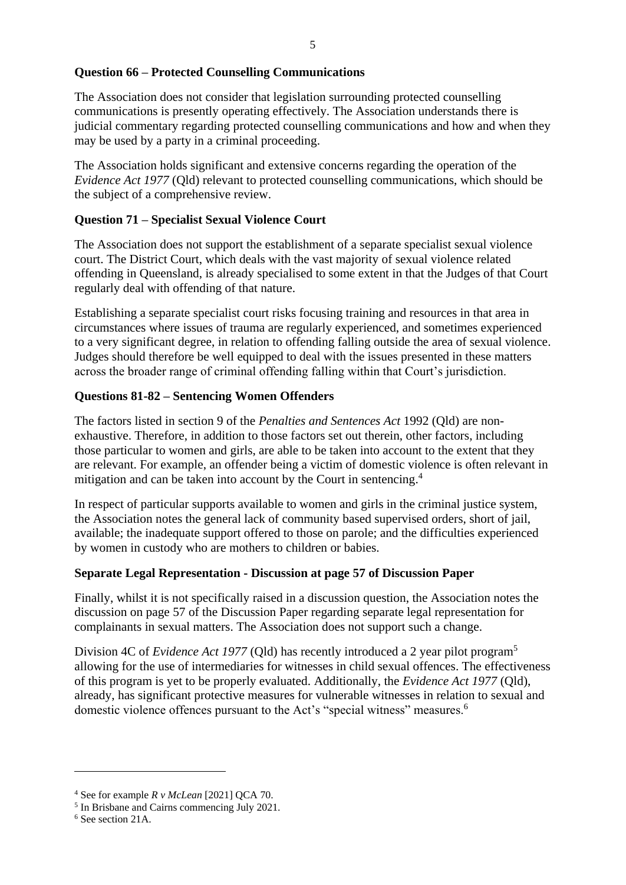## **Question 66 – Protected Counselling Communications**

The Association does not consider that legislation surrounding protected counselling communications is presently operating effectively. The Association understands there is judicial commentary regarding protected counselling communications and how and when they may be used by a party in a criminal proceeding.

The Association holds significant and extensive concerns regarding the operation of the *Evidence Act 1977* (Qld) relevant to protected counselling communications, which should be the subject of a comprehensive review.

## **Question 71 – Specialist Sexual Violence Court**

The Association does not support the establishment of a separate specialist sexual violence court. The District Court, which deals with the vast majority of sexual violence related offending in Queensland, is already specialised to some extent in that the Judges of that Court regularly deal with offending of that nature.

Establishing a separate specialist court risks focusing training and resources in that area in circumstances where issues of trauma are regularly experienced, and sometimes experienced to a very significant degree, in relation to offending falling outside the area of sexual violence. Judges should therefore be well equipped to deal with the issues presented in these matters across the broader range of criminal offending falling within that Court's jurisdiction.

## **Questions 81-82 – Sentencing Women Offenders**

The factors listed in section 9 of the *Penalties and Sentences Act* 1992 (Qld) are nonexhaustive. Therefore, in addition to those factors set out therein, other factors, including those particular to women and girls, are able to be taken into account to the extent that they are relevant. For example, an offender being a victim of domestic violence is often relevant in mitigation and can be taken into account by the Court in sentencing.<sup>4</sup>

In respect of particular supports available to women and girls in the criminal justice system, the Association notes the general lack of community based supervised orders, short of jail, available; the inadequate support offered to those on parole; and the difficulties experienced by women in custody who are mothers to children or babies.

## **Separate Legal Representation - Discussion at page 57 of Discussion Paper**

Finally, whilst it is not specifically raised in a discussion question, the Association notes the discussion on page 57 of the Discussion Paper regarding separate legal representation for complainants in sexual matters. The Association does not support such a change.

Division 4C of *Evidence Act 1977* (Qld) has recently introduced a 2 year pilot program<sup>5</sup> allowing for the use of intermediaries for witnesses in child sexual offences. The effectiveness of this program is yet to be properly evaluated. Additionally, the *Evidence Act 1977* (Qld), already, has significant protective measures for vulnerable witnesses in relation to sexual and domestic violence offences pursuant to the Act's "special witness" measures.<sup>6</sup>

-

<sup>4</sup> See for example *R v McLean* [2021] QCA 70.

<sup>5</sup> In Brisbane and Cairns commencing July 2021.

<sup>6</sup> See section 21A.